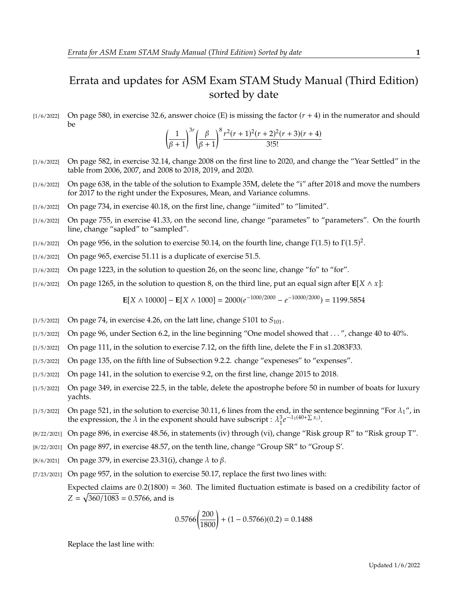## Errata and updates for ASM Exam STAM Study Manual (Third Edition) sorted by date

 $[1/6/2022]$  On page 580, in exercise 32.6, answer choice (E) is missing the factor  $(r + 4)$  in the numerator and should be

$$
\left(\frac{1}{\beta+1}\right)^{3r} \left(\frac{\beta}{\beta+1}\right)^8 \frac{r^2(r+1)^2(r+2)^2(r+3)(r+4)}{3!5!}
$$

- [1/6/2022] On page 582, in exercise 32.14, change 2008 on the first line to 2020, and change the "Year Settled" in the table from 2006, 2007, and 2008 to 2018, 2019, and 2020.
- [1/6/2022] On page 638, in the table of the solution to Example 35M, delete the "i" after 2018 and move the numbers for 2017 to the right under the Exposures, Mean, and Variance columns.
- [1/6/2022] On page 734, in exercise 40.18, on the first line, change "iimited" to "limited".
- [1/6/2022] On page 755, in exercise 41.33, on the second line, change "parametes" to "parameters". On the fourth line, change "sapled" to "sampled".
- [1/6/2022] On page 956, in the solution to exercise 50.14, on the fourth line, change  $\Gamma(1.5)$  to  $\Gamma(1.5)^2$ .
- [1/6/2022] On page 965, exercise 51.11 is a duplicate of exercise 51.5.
- [1/6/2022] On page 1223, in the solution to question 26, on the seonc line, change "fo" to "for".
- [1/6/2022] On page 1265, in the solution to question 8, on the third line, put an equal sign after  $\mathbf{E}[X \wedge x]$ :

**E**[X  $\wedge$  10000] – **E**[X  $\wedge$  1000] = 2000( $e^{-1000/2000}$  –  $e^{-10000/2000}$ ) = 1199.5854

- $\left[1/5/2022\right]$  On page 74, in exercise 4.26, on the latt line, change S101 to  $S_{101}$ .
- $[1/5/2022]$  On page 96, under Section 6.2, in the line beginning "One model showed that ...", change 40 to 40%.
- [1/5/2022] On page 111, in the solution to exercise 7.12, on the fifth line, delete the F in s1.2083F33.
- [1/5/2022] On page 135, on the fifth line of Subsection 9.2.2. change "expeneses" to "expenses".
- [1/5/2022] On page 141, in the solution to exercise 9.2, on the first line, change 2015 to 2018.
- [1/5/2022] On page 349, in exercise 22.5, in the table, delete the apostrophe before 50 in number of boats for luxury yachts.
- [1/5/2022] On page 521, in the solution to exercise 30.11, 6 lines from the end, in the sentence beginning "For  $\lambda_1$ ", in the expression, the  $\lambda$  in the exponent should have subscript :  $\lambda_1^3 e$  $-\lambda_1(40+\sum x_i)$ .
- [8/22/2021] On page 896, in exercise 48.56, in statements (iv) through (vi), change "Risk group R" to "Risk group T".
- [8/22/2021] On page 897, in exercise 48.57, on the tenth line, change "Group SR" to "Group S'.
- [8/6/2021] On page 379, in exercise 23.31(i), change  $\lambda$  to  $\beta$ .
- [7/23/2021] On page 957, in the solution to exercise 50.17, replace the first two lines with: Expected claims are  $0.2(1800) = 360$ . The limited fluctuation estimate is based on a credibility factor of  $Z = \sqrt{360/1083} = 0.5766$ , and is

$$
0.5766 \left(\frac{200}{1800}\right) + (1 - 0.5766)(0.2) = 0.1488
$$

Replace the last line with: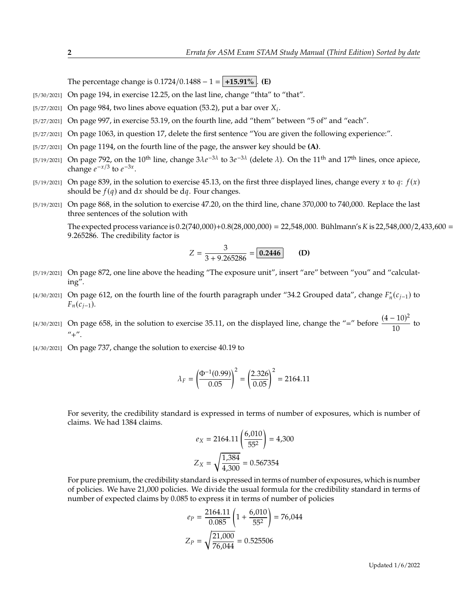The percentage change is  $0.1724/0.1488 - 1 = +15.91\%$ . **(E)** 

- [5/30/2021] On page 194, in exercise 12.25, on the last line, change "thta" to "that".
- $\frac{5}{27/2021}$  On page 984, two lines above equation (53.2), put a bar over  $X_i$ .
- [5/27/2021] On page 997, in exercise 53.19, on the fourth line, add "them" between "5 of" and "each".
- [5/27/2021] On page 1063, in question 17, delete the first sentence "You are given the following experience:".
- [5/27/2021] On page 1194, on the fourth line of the page, the answer key should be **(A)**.
- [5/19/2021] On page 792, on the 10<sup>th</sup> line, change  $3\lambda e^{-3\lambda}$  to  $3e^{-3\lambda}$  (delete  $\lambda$ ). On the 11<sup>th</sup> and 17<sup>th</sup> lines, once apiece, change  $e^{-x/3}$  to  $e^{-3x}$ change  $e^{-x/3}$  to  $e^{-3x}$ .
- [5/19/2021] On page 839, in the solution to exercise 45.13, on the first three displayed lines, change every x to q:  $f(x)$ should be  $f(q)$  and dx should be dq. Four changes.
- [5/19/2021] On page 868, in the solution to exercise 47.20, on the third line, chane 370,000 to 740,000. Replace the last three sentences of the solution with

The expected process variance is  $0.2(740,000)+0.8(28,000,000) = 22,548,000$ . Bühlmann's K is 22,548,000/2,433,600 = <sup>9</sup>.265286. The credibility factor is

$$
Z = \frac{3}{3 + 9.265286} = \boxed{0.2446}
$$
 (D)

- [5/19/2021] On page 872, one line above the heading "The exposure unit", insert "are" between "you" and "calculating".
- [4/30/2021] On page 612, on the fourth line of the fourth paragraph under "34.2 Grouped data", change  $F_n^*(c_{j-1})$  to  $F_n(c_{j-1}).$
- [4/30/2021] On page 658, in the solution to exercise 35.11, on the displayed line, change the "=" before  $\frac{(4-10)^2}{10}$  $\frac{10}{10}$  to  $^{\prime\prime}$ + $^{\prime\prime}$ .
- [4/30/2021] On page 737, change the solution to exercise 40.19 to

$$
\lambda_F = \left(\frac{\Phi^{-1}(0.99)}{0.05}\right)^2 = \left(\frac{2.326}{0.05}\right)^2 = 2164.11
$$

For severity, the credibility standard is expressed in terms of number of exposures, which is number of claims. We had 1384 claims.

$$
e_X = 2164.11 \left( \frac{6,010}{55^2} \right) = 4,300
$$

$$
Z_X = \sqrt{\frac{1,384}{4,300}} = 0.567354
$$

For pure premium, the credibility standard is expressed in terms of number of exposures, which is number of policies. We have 21,000 policies. We divide the usual formula for the credibility standard in terms of number of expected claims by 0.085 to express it in terms of number of policies

$$
e_P = \frac{2164.11}{0.085} \left( 1 + \frac{6,010}{55^2} \right) = 76,044
$$

$$
Z_P = \sqrt{\frac{21,000}{76,044}} = 0.525506
$$